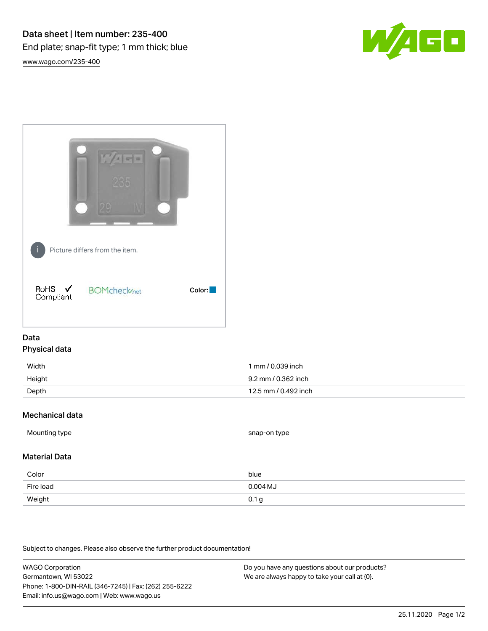

[www.wago.com/235-400](http://www.wago.com/235-400)



## Data Physical data

| Width  | 1 mm / 0.039 inch    |
|--------|----------------------|
| Height | 9.2 mm / 0.362 inch  |
| Depth  | 12.5 mm / 0.492 inch |

## Mechanical data

|--|

## Material Data

| Color     | blue       |
|-----------|------------|
| Fire load | $0.004$ MJ |
| Weight    | 0.1 g      |

Subject to changes. Please also observe the further product documentation!

WAGO Corporation Germantown, WI 53022 Phone: 1-800-DIN-RAIL (346-7245) | Fax: (262) 255-6222 Email: info.us@wago.com | Web: www.wago.us

Do you have any questions about our products? We are always happy to take your call at {0}.